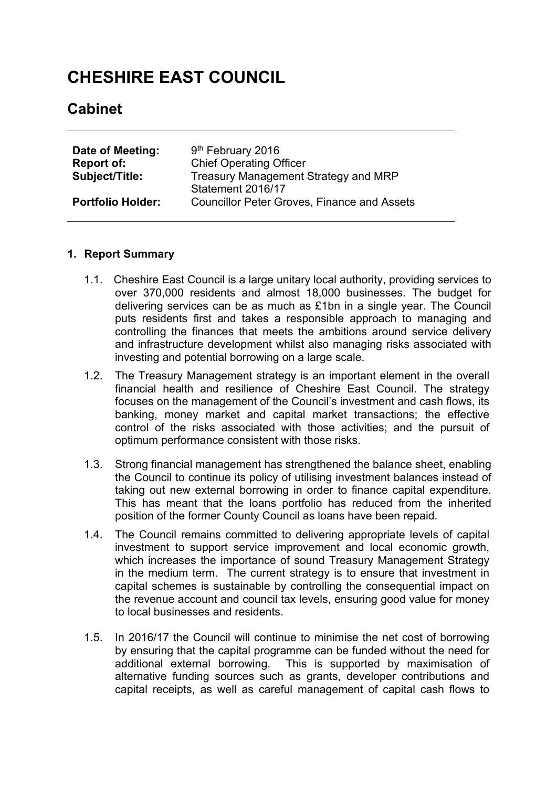# **CHESHIRE EAST COUNCIL**

## **Cabinet**

| Date of Meeting:         | 9 <sup>th</sup> February 2016                                           |
|--------------------------|-------------------------------------------------------------------------|
| Report of:               | <b>Chief Operating Officer</b>                                          |
| <b>Subject/Title:</b>    | Treasury Management Strategy and MRP                                    |
| <b>Portfolio Holder:</b> | Statement 2016/17<br><b>Councillor Peter Groves, Finance and Assets</b> |

#### **1. Report Summary**

- 1.1. Cheshire East Council is a large unitary local authority, providing services to over 370,000 residents and almost 18,000 businesses. The budget for delivering services can be as much as £1bn in a single year. The Council puts residents first and takes a responsible approach to managing and controlling the finances that meets the ambitions around service delivery and infrastructure development whilst also managing risks associated with investing and potential borrowing on a large scale.
- 1.2. The Treasury Management strategy is an important element in the overall financial health and resilience of Cheshire East Council. The strategy focuses on the management of the Council's investment and cash flows, its banking, money market and capital market transactions; the effective control of the risks associated with those activities; and the pursuit of optimum performance consistent with those risks.
- 1.3. Strong financial management has strengthened the balance sheet, enabling the Council to continue its policy of utilising investment balances instead of taking out new external borrowing in order to finance capital expenditure. This has meant that the loans portfolio has reduced from the inherited position of the former County Council as loans have been repaid.
- 1.4. The Council remains committed to delivering appropriate levels of capital investment to support service improvement and local economic growth, which increases the importance of sound Treasury Management Strategy in the medium term. The current strategy is to ensure that investment in capital schemes is sustainable by controlling the consequential impact on the revenue account and council tax levels, ensuring good value for money to local businesses and residents.
- 1.5. In 2016/17 the Council will continue to minimise the net cost of borrowing by ensuring that the capital programme can be funded without the need for additional external borrowing. This is supported by maximisation of alternative funding sources such as grants, developer contributions and capital receipts, as well as careful management of capital cash flows to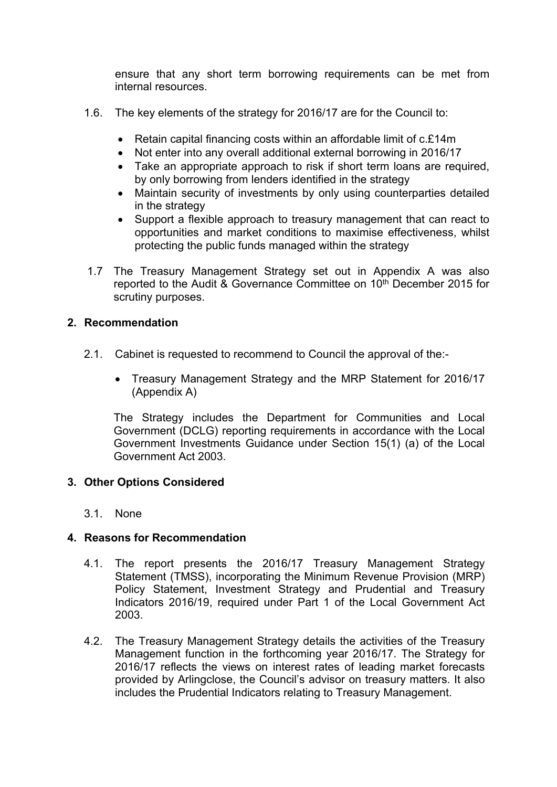ensure that any short term borrowing requirements can be met from internal resources.

- 1.6. The key elements of the strategy for 2016/17 are for the Council to:
	- Retain capital financing costs within an affordable limit of c.£14m
	- Not enter into any overall additional external borrowing in 2016/17
	- Take an appropriate approach to risk if short term loans are required, by only borrowing from lenders identified in the strategy
	- Maintain security of investments by only using counterparties detailed in the strategy
	- Support a flexible approach to treasury management that can react to opportunities and market conditions to maximise effectiveness, whilst protecting the public funds managed within the strategy
- 1.7 The Treasury Management Strategy set out in Appendix A was also reported to the Audit & Governance Committee on 10<sup>th</sup> December 2015 for scrutiny purposes.

#### **2. Recommendation**

- 2.1. Cabinet is requested to recommend to Council the approval of the:-
	- Treasury Management Strategy and the MRP Statement for 2016/17 (Appendix A)

The Strategy includes the Department for Communities and Local Government (DCLG) reporting requirements in accordance with the Local Government Investments Guidance under Section 15(1) (a) of the Local Government Act 2003.

#### **3. Other Options Considered**

3.1. None

#### **4. Reasons for Recommendation**

- 4.1. The report presents the 2016/17 Treasury Management Strategy Statement (TMSS), incorporating the Minimum Revenue Provision (MRP) Policy Statement, Investment Strategy and Prudential and Treasury Indicators 2016/19, required under Part 1 of the Local Government Act 2003.
- 4.2. The Treasury Management Strategy details the activities of the Treasury Management function in the forthcoming year 2016/17. The Strategy for 2016/17 reflects the views on interest rates of leading market forecasts provided by Arlingclose, the Council's advisor on treasury matters. It also includes the Prudential Indicators relating to Treasury Management.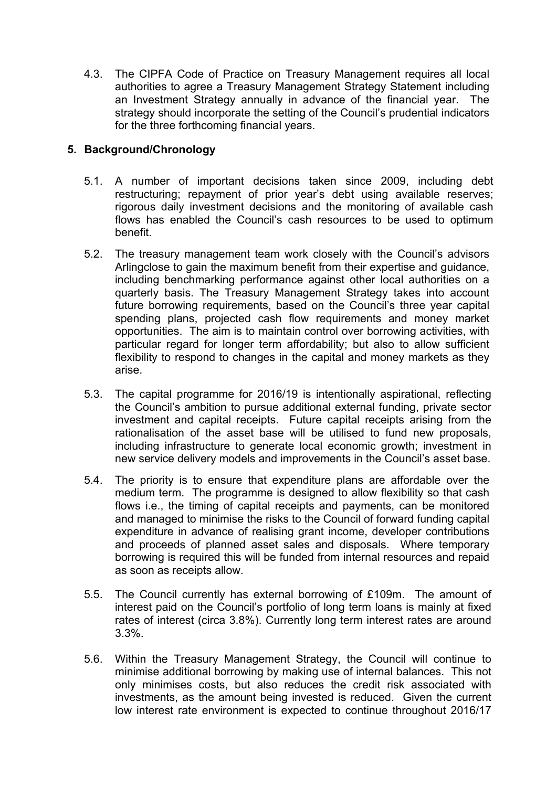4.3. The CIPFA Code of Practice on Treasury Management requires all local authorities to agree a Treasury Management Strategy Statement including an Investment Strategy annually in advance of the financial year. The strategy should incorporate the setting of the Council's prudential indicators for the three forthcoming financial years.

## **5. Background/Chronology**

- 5.1. A number of important decisions taken since 2009, including debt restructuring; repayment of prior year's debt using available reserves; rigorous daily investment decisions and the monitoring of available cash flows has enabled the Council's cash resources to be used to optimum benefit.
- 5.2. The treasury management team work closely with the Council's advisors Arlingclose to gain the maximum benefit from their expertise and guidance, including benchmarking performance against other local authorities on a quarterly basis. The Treasury Management Strategy takes into account future borrowing requirements, based on the Council's three year capital spending plans, projected cash flow requirements and money market opportunities. The aim is to maintain control over borrowing activities, with particular regard for longer term affordability; but also to allow sufficient flexibility to respond to changes in the capital and money markets as they arise.
- 5.3. The capital programme for 2016/19 is intentionally aspirational, reflecting the Council's ambition to pursue additional external funding, private sector investment and capital receipts. Future capital receipts arising from the rationalisation of the asset base will be utilised to fund new proposals, including infrastructure to generate local economic growth; investment in new service delivery models and improvements in the Council's asset base.
- 5.4. The priority is to ensure that expenditure plans are affordable over the medium term. The programme is designed to allow flexibility so that cash flows i.e., the timing of capital receipts and payments, can be monitored and managed to minimise the risks to the Council of forward funding capital expenditure in advance of realising grant income, developer contributions and proceeds of planned asset sales and disposals. Where temporary borrowing is required this will be funded from internal resources and repaid as soon as receipts allow.
- 5.5. The Council currently has external borrowing of £109m. The amount of interest paid on the Council's portfolio of long term loans is mainly at fixed rates of interest (circa 3.8%). Currently long term interest rates are around 3.3%.
- 5.6. Within the Treasury Management Strategy, the Council will continue to minimise additional borrowing by making use of internal balances. This not only minimises costs, but also reduces the credit risk associated with investments, as the amount being invested is reduced. Given the current low interest rate environment is expected to continue throughout 2016/17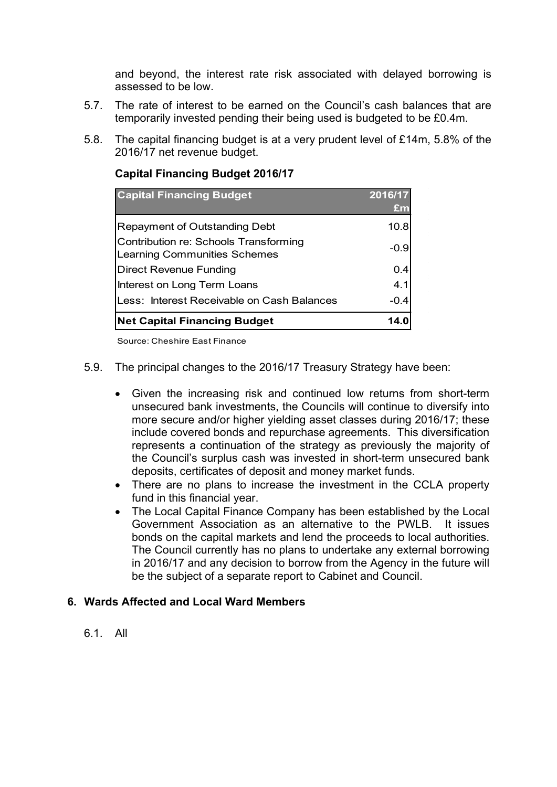and beyond, the interest rate risk associated with delayed borrowing is assessed to be low.

- 5.7. The rate of interest to be earned on the Council's cash balances that are temporarily invested pending their being used is budgeted to be £0.4m.
- 5.8. The capital financing budget is at a very prudent level of £14m, 5.8% of the 2016/17 net revenue budget.

| <b>Capital Financing Budget</b>                                       | 2016/17<br><b>£m</b> |
|-----------------------------------------------------------------------|----------------------|
| Repayment of Outstanding Debt                                         | 10.8                 |
| Contribution re: Schools Transforming<br>Learning Communities Schemes | $-0.9$               |
| <b>Direct Revenue Funding</b>                                         | 0.4                  |
| Interest on Long Term Loans                                           | 4.1                  |
| Less: Interest Receivable on Cash Balances                            | $-0.4$               |
| <b>Net Capital Financing Budget</b>                                   | 14.0                 |

#### **Capital Financing Budget 2016/17**

Source: Cheshire East Finance

- 5.9. The principal changes to the 2016/17 Treasury Strategy have been:
	- Given the increasing risk and continued low returns from short-term unsecured bank investments, the Councils will continue to diversify into more secure and/or higher yielding asset classes during 2016/17; these include covered bonds and repurchase agreements. This diversification represents a continuation of the strategy as previously the majority of the Council's surplus cash was invested in short-term unsecured bank deposits, certificates of deposit and money market funds.
	- There are no plans to increase the investment in the CCLA property fund in this financial year.
	- The Local Capital Finance Company has been established by the Local Government Association as an alternative to the PWLB. It issues bonds on the capital markets and lend the proceeds to local authorities. The Council currently has no plans to undertake any external borrowing in 2016/17 and any decision to borrow from the Agency in the future will be the subject of a separate report to Cabinet and Council.

#### **6. Wards Affected and Local Ward Members**

6.1. All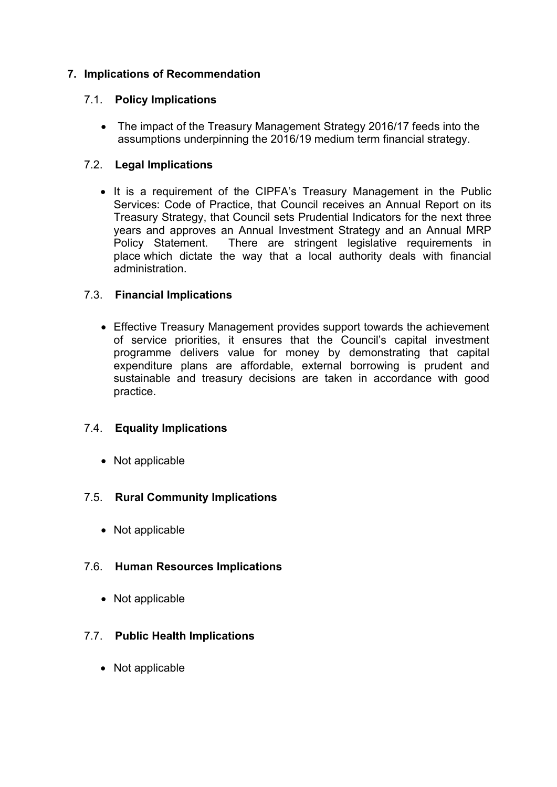## **7. Implications of Recommendation**

## 7.1. **Policy Implications**

• The impact of the Treasury Management Strategy 2016/17 feeds into the assumptions underpinning the 2016/19 medium term financial strategy.

## 7.2. **Legal Implications**

• It is a requirement of the CIPFA's Treasury Management in the Public Services: Code of Practice, that Council receives an Annual Report on its Treasury Strategy, that Council sets Prudential Indicators for the next three years and approves an Annual Investment Strategy and an Annual MRP Policy Statement. There are stringent legislative requirements in place which dictate the way that a local authority deals with financial administration.

## 7.3. **Financial Implications**

 Effective Treasury Management provides support towards the achievement of service priorities, it ensures that the Council's capital investment programme delivers value for money by demonstrating that capital expenditure plans are affordable, external borrowing is prudent and sustainable and treasury decisions are taken in accordance with good practice.

## 7.4. **Equality Implications**

• Not applicable

## 7.5. **Rural Community Implications**

• Not applicable

## 7.6. **Human Resources Implications**

• Not applicable

## 7.7. **Public Health Implications**

• Not applicable